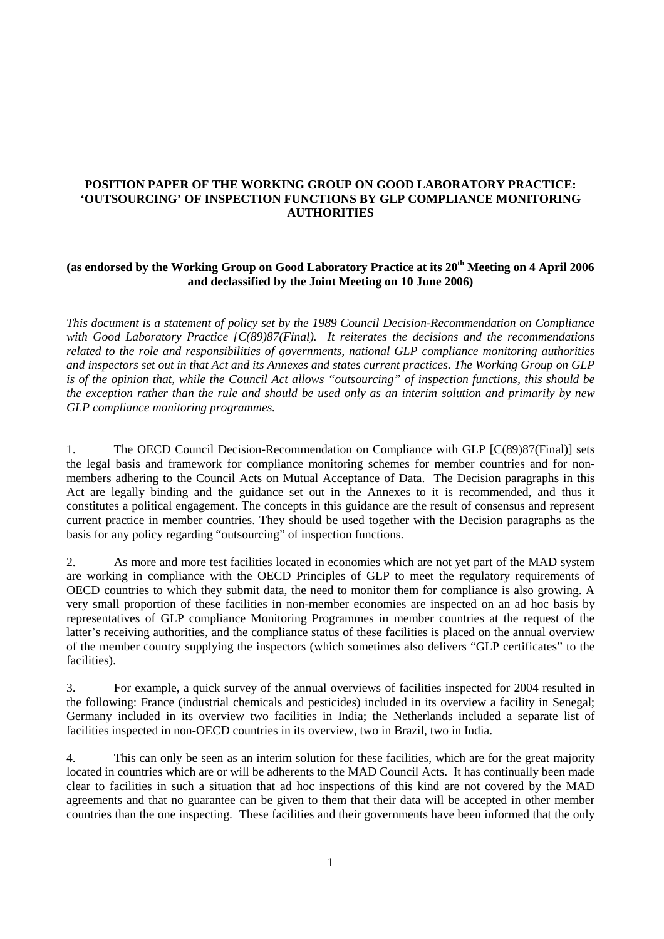## **POSITION PAPER OF THE WORKING GROUP ON GOOD LABORATORY PRACTICE: 'OUTSOURCING' OF INSPECTION FUNCTIONS BY GLP COMPLIANCE MONITORING AUTHORITIES**

# (as endorsed by the Working Group on Good Laboratory Practice at its 20<sup>th</sup> Meeting on 4 April 2006 **and declassified by the Joint Meeting on 10 June 2006)**

*This document is a statement of policy set by the 1989 Council Decision-Recommendation on Compliance with Good Laboratory Practice [C(89)87(Final). It reiterates the decisions and the recommendations related to the role and responsibilities of governments, national GLP compliance monitoring authorities and inspectors set out in that Act and its Annexes and states current practices. The Working Group on GLP is of the opinion that, while the Council Act allows "outsourcing" of inspection functions, this should be the exception rather than the rule and should be used only as an interim solution and primarily by new GLP compliance monitoring programmes.* 

1. The OECD Council Decision-Recommendation on Compliance with GLP [C(89)87(Final)] sets the legal basis and framework for compliance monitoring schemes for member countries and for nonmembers adhering to the Council Acts on Mutual Acceptance of Data. The Decision paragraphs in this Act are legally binding and the guidance set out in the Annexes to it is recommended, and thus it constitutes a political engagement. The concepts in this guidance are the result of consensus and represent current practice in member countries. They should be used together with the Decision paragraphs as the basis for any policy regarding "outsourcing" of inspection functions.

2. As more and more test facilities located in economies which are not yet part of the MAD system are working in compliance with the OECD Principles of GLP to meet the regulatory requirements of OECD countries to which they submit data, the need to monitor them for compliance is also growing. A very small proportion of these facilities in non-member economies are inspected on an ad hoc basis by representatives of GLP compliance Monitoring Programmes in member countries at the request of the latter's receiving authorities, and the compliance status of these facilities is placed on the annual overview of the member country supplying the inspectors (which sometimes also delivers "GLP certificates" to the facilities).

3. For example, a quick survey of the annual overviews of facilities inspected for 2004 resulted in the following: France (industrial chemicals and pesticides) included in its overview a facility in Senegal; Germany included in its overview two facilities in India; the Netherlands included a separate list of facilities inspected in non-OECD countries in its overview, two in Brazil, two in India.

4. This can only be seen as an interim solution for these facilities, which are for the great majority located in countries which are or will be adherents to the MAD Council Acts. It has continually been made clear to facilities in such a situation that ad hoc inspections of this kind are not covered by the MAD agreements and that no guarantee can be given to them that their data will be accepted in other member countries than the one inspecting. These facilities and their governments have been informed that the only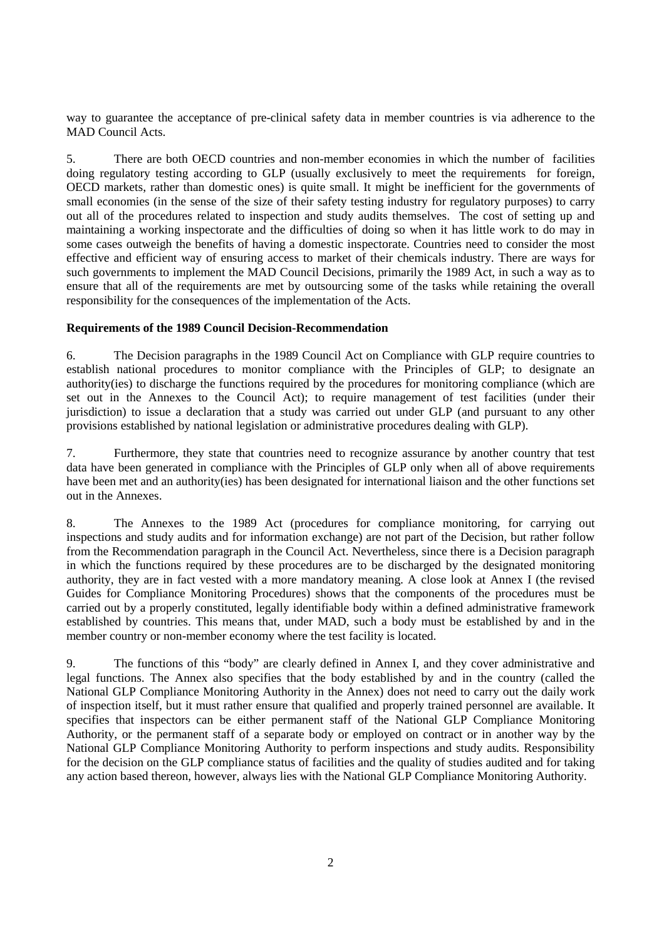way to guarantee the acceptance of pre-clinical safety data in member countries is via adherence to the MAD Council Acts.

5. There are both OECD countries and non-member economies in which the number of facilities doing regulatory testing according to GLP (usually exclusively to meet the requirements for foreign, OECD markets, rather than domestic ones) is quite small. It might be inefficient for the governments of small economies (in the sense of the size of their safety testing industry for regulatory purposes) to carry out all of the procedures related to inspection and study audits themselves. The cost of setting up and maintaining a working inspectorate and the difficulties of doing so when it has little work to do may in some cases outweigh the benefits of having a domestic inspectorate. Countries need to consider the most effective and efficient way of ensuring access to market of their chemicals industry. There are ways for such governments to implement the MAD Council Decisions, primarily the 1989 Act, in such a way as to ensure that all of the requirements are met by outsourcing some of the tasks while retaining the overall responsibility for the consequences of the implementation of the Acts.

#### **Requirements of the 1989 Council Decision-Recommendation**

6. The Decision paragraphs in the 1989 Council Act on Compliance with GLP require countries to establish national procedures to monitor compliance with the Principles of GLP; to designate an authority(ies) to discharge the functions required by the procedures for monitoring compliance (which are set out in the Annexes to the Council Act); to require management of test facilities (under their jurisdiction) to issue a declaration that a study was carried out under GLP (and pursuant to any other provisions established by national legislation or administrative procedures dealing with GLP).

7. Furthermore, they state that countries need to recognize assurance by another country that test data have been generated in compliance with the Principles of GLP only when all of above requirements have been met and an authority(ies) has been designated for international liaison and the other functions set out in the Annexes.

8. The Annexes to the 1989 Act (procedures for compliance monitoring, for carrying out inspections and study audits and for information exchange) are not part of the Decision, but rather follow from the Recommendation paragraph in the Council Act. Nevertheless, since there is a Decision paragraph in which the functions required by these procedures are to be discharged by the designated monitoring authority, they are in fact vested with a more mandatory meaning. A close look at Annex I (the revised Guides for Compliance Monitoring Procedures) shows that the components of the procedures must be carried out by a properly constituted, legally identifiable body within a defined administrative framework established by countries. This means that, under MAD, such a body must be established by and in the member country or non-member economy where the test facility is located.

9. The functions of this "body" are clearly defined in Annex I, and they cover administrative and legal functions. The Annex also specifies that the body established by and in the country (called the National GLP Compliance Monitoring Authority in the Annex) does not need to carry out the daily work of inspection itself, but it must rather ensure that qualified and properly trained personnel are available. It specifies that inspectors can be either permanent staff of the National GLP Compliance Monitoring Authority, or the permanent staff of a separate body or employed on contract or in another way by the National GLP Compliance Monitoring Authority to perform inspections and study audits. Responsibility for the decision on the GLP compliance status of facilities and the quality of studies audited and for taking any action based thereon, however, always lies with the National GLP Compliance Monitoring Authority.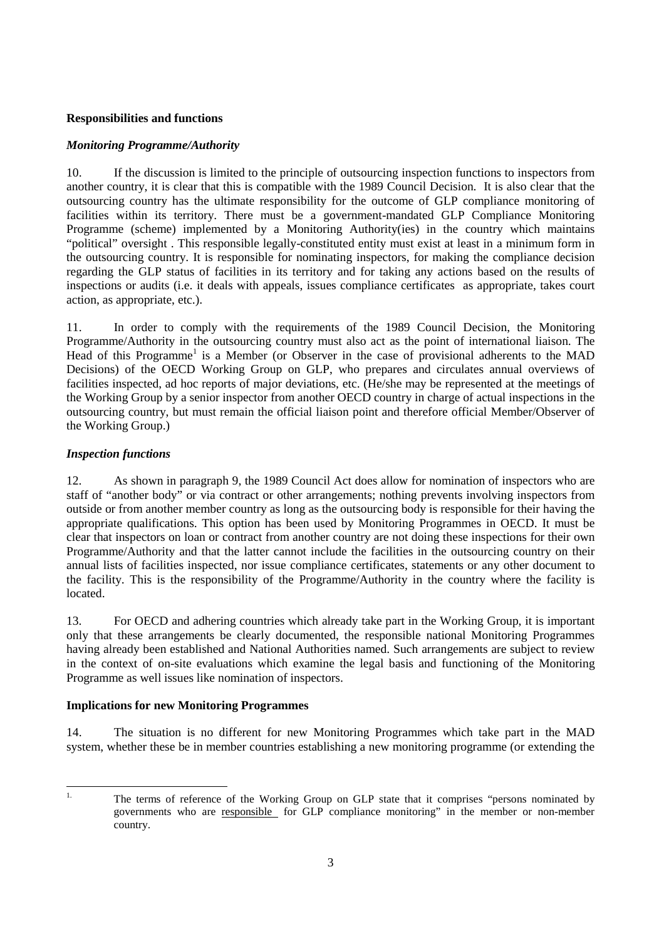## **Responsibilities and functions**

#### *Monitoring Programme/Authority*

10. If the discussion is limited to the principle of outsourcing inspection functions to inspectors from another country, it is clear that this is compatible with the 1989 Council Decision. It is also clear that the outsourcing country has the ultimate responsibility for the outcome of GLP compliance monitoring of facilities within its territory. There must be a government-mandated GLP Compliance Monitoring Programme (scheme) implemented by a Monitoring Authority(ies) in the country which maintains "political" oversight . This responsible legally-constituted entity must exist at least in a minimum form in the outsourcing country. It is responsible for nominating inspectors, for making the compliance decision regarding the GLP status of facilities in its territory and for taking any actions based on the results of inspections or audits (i.e. it deals with appeals, issues compliance certificates as appropriate, takes court action, as appropriate, etc.).

11. In order to comply with the requirements of the 1989 Council Decision, the Monitoring Programme/Authority in the outsourcing country must also act as the point of international liaison. The Head of this Programme<sup>1</sup> is a Member (or Observer in the case of provisional adherents to the MAD Decisions) of the OECD Working Group on GLP, who prepares and circulates annual overviews of facilities inspected, ad hoc reports of major deviations, etc. (He/she may be represented at the meetings of the Working Group by a senior inspector from another OECD country in charge of actual inspections in the outsourcing country, but must remain the official liaison point and therefore official Member/Observer of the Working Group.)

## *Inspection functions*

12. As shown in paragraph 9, the 1989 Council Act does allow for nomination of inspectors who are staff of "another body" or via contract or other arrangements; nothing prevents involving inspectors from outside or from another member country as long as the outsourcing body is responsible for their having the appropriate qualifications. This option has been used by Monitoring Programmes in OECD. It must be clear that inspectors on loan or contract from another country are not doing these inspections for their own Programme/Authority and that the latter cannot include the facilities in the outsourcing country on their annual lists of facilities inspected, nor issue compliance certificates, statements or any other document to the facility. This is the responsibility of the Programme/Authority in the country where the facility is located.

13. For OECD and adhering countries which already take part in the Working Group, it is important only that these arrangements be clearly documented, the responsible national Monitoring Programmes having already been established and National Authorities named. Such arrangements are subject to review in the context of on-site evaluations which examine the legal basis and functioning of the Monitoring Programme as well issues like nomination of inspectors.

#### **Implications for new Monitoring Programmes**

14. The situation is no different for new Monitoring Programmes which take part in the MAD system, whether these be in member countries establishing a new monitoring programme (or extending the

 $\mathbf{1}$ 

The terms of reference of the Working Group on GLP state that it comprises "persons nominated by governments who are responsible for GLP compliance monitoring" in the member or non-member country.